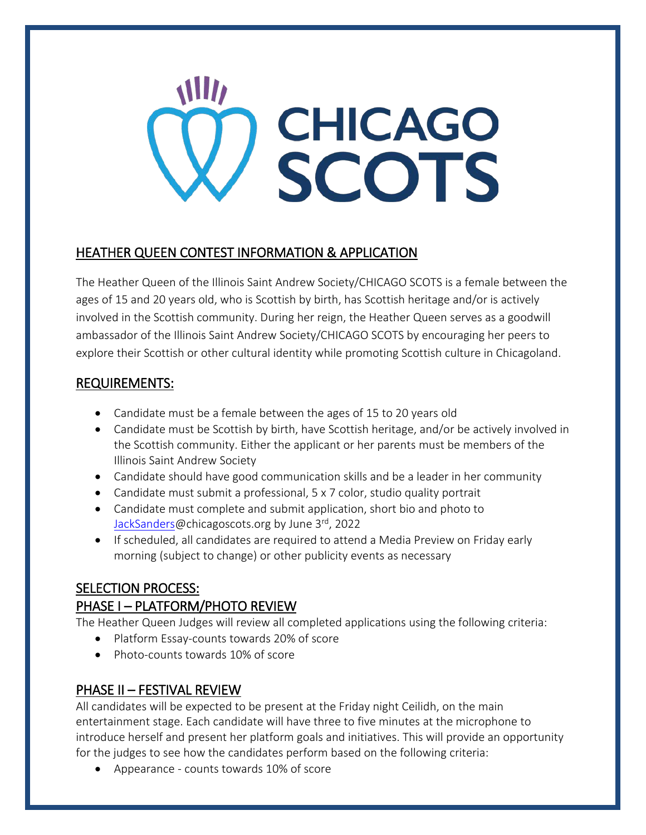# **NIII** CHICAGO

## HEATHER QUEEN CONTEST INFORMATION & APPLICATION

The Heather Queen of the Illinois Saint Andrew Society/CHICAGO SCOTS is a female between the ages of 15 and 20 years old, who is Scottish by birth, has Scottish heritage and/or is actively involved in the Scottish community. During her reign, the Heather Queen serves as a goodwill ambassador of the Illinois Saint Andrew Society/CHICAGO SCOTS by encouraging her peers to explore their Scottish or other cultural identity while promoting Scottish culture in Chicagoland.

# REQUIREMENTS:

- Candidate must be a female between the ages of 15 to 20 years old
- Candidate must be Scottish by birth, have Scottish heritage, and/or be actively involved in the Scottish community. Either the applicant or her parents must be members of the Illinois Saint Andrew Society
- Candidate should have good communication skills and be a leader in her community
- Candidate must submit a professional, 5 x 7 color, studio quality portrait
- Candidate must complete and submit application, short bio and photo to [JackSanders@](mailto:joefeehan@chicagoscots.org)chicagoscots.org by June 3rd, 2022
- If scheduled, all candidates are required to attend a Media Preview on Friday early morning (subject to change) or other publicity events as necessary

# SELECTION PROCESS:

# PHASE I – PLATFORM/PHOTO REVIEW

The Heather Queen Judges will review all completed applications using the following criteria:

- Platform Essay-counts towards 20% of score
- Photo-counts towards 10% of score

# PHASE II – FESTIVAL REVIEW

All candidates will be expected to be present at the Friday night Ceilidh, on the main entertainment stage. Each candidate will have three to five minutes at the microphone to introduce herself and present her platform goals and initiatives. This will provide an opportunity for the judges to see how the candidates perform based on the following criteria:

• Appearance - counts towards 10% of score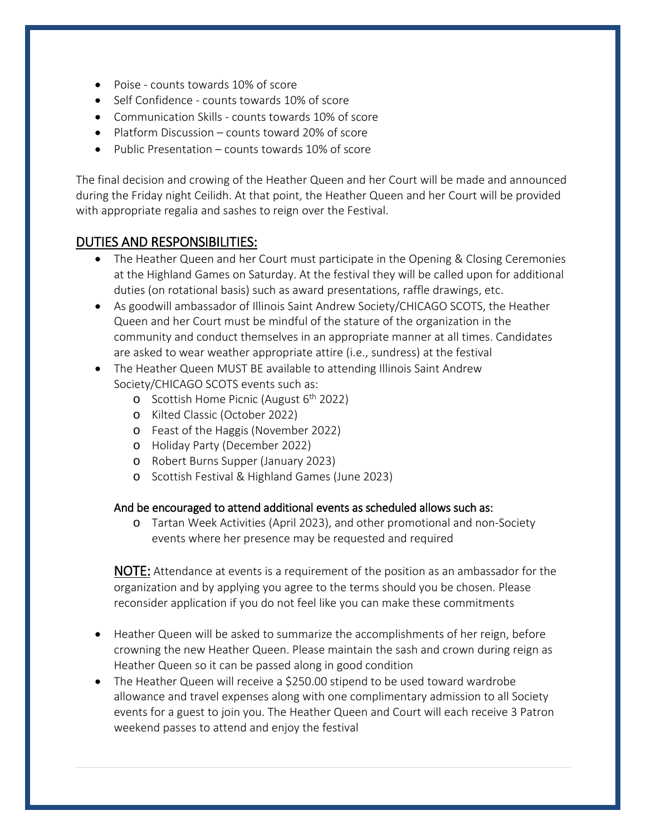- Poise counts towards 10% of score
- Self Confidence counts towards 10% of score
- Communication Skills counts towards 10% of score
- Platform Discussion counts toward 20% of score
- Public Presentation counts towards 10% of score

The final decision and crowing of the Heather Queen and her Court will be made and announced during the Friday night Ceilidh. At that point, the Heather Queen and her Court will be provided with appropriate regalia and sashes to reign over the Festival.

### DUTIES AND RESPONSIBILITIES:

- The Heather Queen and her Court must participate in the Opening & Closing Ceremonies at the Highland Games on Saturday. At the festival they will be called upon for additional duties (on rotational basis) such as award presentations, raffle drawings, etc.
- As goodwill ambassador of Illinois Saint Andrew Society/CHICAGO SCOTS, the Heather Queen and her Court must be mindful of the stature of the organization in the community and conduct themselves in an appropriate manner at all times. Candidates are asked to wear weather appropriate attire (i.e., sundress) at the festival
- The Heather Queen MUST BE available to attending Illinois Saint Andrew Society/CHICAGO SCOTS events such as:
	- o Scottish Home Picnic (August  $6<sup>th</sup>$  2022)
	- o Kilted Classic (October 2022)
	- o Feast of the Haggis (November 2022)
	- o Holiday Party (December 2022)
	- o Robert Burns Supper (January 2023)
	- o Scottish Festival & Highland Games (June 2023)

#### And be encouraged to attend additional events as scheduled allows such as:

o Tartan Week Activities (April 2023), and other promotional and non-Society events where her presence may be requested and required

NOTE: Attendance at events is a requirement of the position as an ambassador for the organization and by applying you agree to the terms should you be chosen. Please reconsider application if you do not feel like you can make these commitments

- Heather Queen will be asked to summarize the accomplishments of her reign, before crowning the new Heather Queen. Please maintain the sash and crown during reign as Heather Queen so it can be passed along in good condition
- The Heather Queen will receive a \$250.00 stipend to be used toward wardrobe allowance and travel expenses along with one complimentary admission to all Society events for a guest to join you. The Heather Queen and Court will each receive 3 Patron weekend passes to attend and enjoy the festival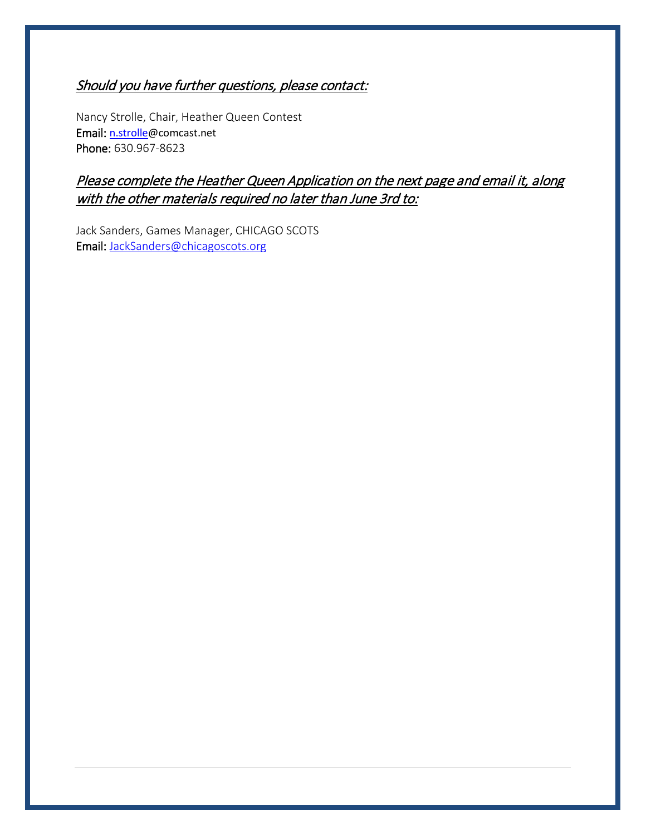# Should you have further questions, please contact:

Nancy Strolle, Chair, Heather Queen Contest Email: [n.strolle@](mailto:msallyj1@gmail.com)comcast.net Phone: 630.967-8623

# Please complete the Heather Queen Application on the next page and email it, along with the other materials required no later than June 3rd to:

Jack Sanders, Games Manager, CHICAGO SCOTS Email: [JackSanders@chicagoscots.org](mailto:JackSanders@chicagoscots.org)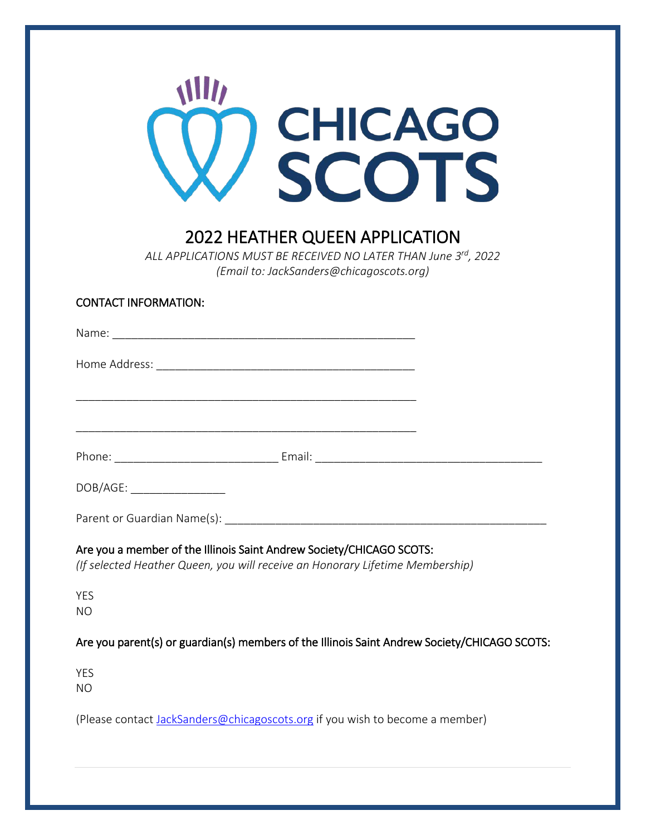

# 2022 HEATHER QUEEN APPLICATION

*ALL APPLICATIONS MUST BE RECEIVED NO LATER THAN June 3rd, 2022 (Email to: JackSanders@chicagoscots.org)*

| DOB/AGE: ___________________                                                                                                                          |  |
|-------------------------------------------------------------------------------------------------------------------------------------------------------|--|
|                                                                                                                                                       |  |
| Are you a member of the Illinois Saint Andrew Society/CHICAGO SCOTS:<br>(If selected Heather Queen, you will receive an Honorary Lifetime Membership) |  |
| <b>YES</b><br><b>NO</b>                                                                                                                               |  |
| Are you parent(s) or guardian(s) members of the Illinois Saint Andrew Society/CHICAGO SCOTS:                                                          |  |
| <b>YES</b><br><b>NO</b>                                                                                                                               |  |
| (Please contact JackSanders@chicagoscots.org if you wish to become a member)                                                                          |  |